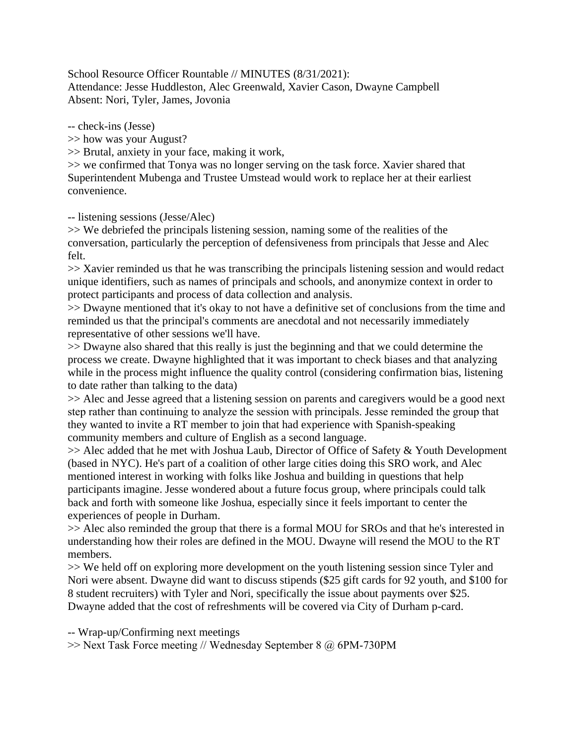School Resource Officer Rountable // MINUTES (8/31/2021): Attendance: Jesse Huddleston, Alec Greenwald, Xavier Cason, Dwayne Campbell Absent: Nori, Tyler, James, Jovonia

-- check-ins (Jesse)

>> how was your August?

>> Brutal, anxiety in your face, making it work,

>> we confirmed that Tonya was no longer serving on the task force. Xavier shared that Superintendent Mubenga and Trustee Umstead would work to replace her at their earliest convenience.

-- listening sessions (Jesse/Alec)

>> We debriefed the principals listening session, naming some of the realities of the conversation, particularly the perception of defensiveness from principals that Jesse and Alec felt.

>> Xavier reminded us that he was transcribing the principals listening session and would redact unique identifiers, such as names of principals and schools, and anonymize context in order to protect participants and process of data collection and analysis.

>> Dwayne mentioned that it's okay to not have a definitive set of conclusions from the time and reminded us that the principal's comments are anecdotal and not necessarily immediately representative of other sessions we'll have.

>> Dwayne also shared that this really is just the beginning and that we could determine the process we create. Dwayne highlighted that it was important to check biases and that analyzing while in the process might influence the quality control (considering confirmation bias, listening to date rather than talking to the data)

>> Alec and Jesse agreed that a listening session on parents and caregivers would be a good next step rather than continuing to analyze the session with principals. Jesse reminded the group that they wanted to invite a RT member to join that had experience with Spanish-speaking community members and culture of English as a second language.

>> Alec added that he met with Joshua Laub, Director of Office of Safety & Youth Development (based in NYC). He's part of a coalition of other large cities doing this SRO work, and Alec mentioned interest in working with folks like Joshua and building in questions that help participants imagine. Jesse wondered about a future focus group, where principals could talk back and forth with someone like Joshua, especially since it feels important to center the experiences of people in Durham.

>> Alec also reminded the group that there is a formal MOU for SROs and that he's interested in understanding how their roles are defined in the MOU. Dwayne will resend the MOU to the RT members.

>> We held off on exploring more development on the youth listening session since Tyler and Nori were absent. Dwayne did want to discuss stipends (\$25 gift cards for 92 youth, and \$100 for 8 student recruiters) with Tyler and Nori, specifically the issue about payments over \$25. Dwayne added that the cost of refreshments will be covered via City of Durham p-card.

-- Wrap-up/Confirming next meetings

>> Next Task Force meeting // Wednesday September 8 @ 6PM-730PM